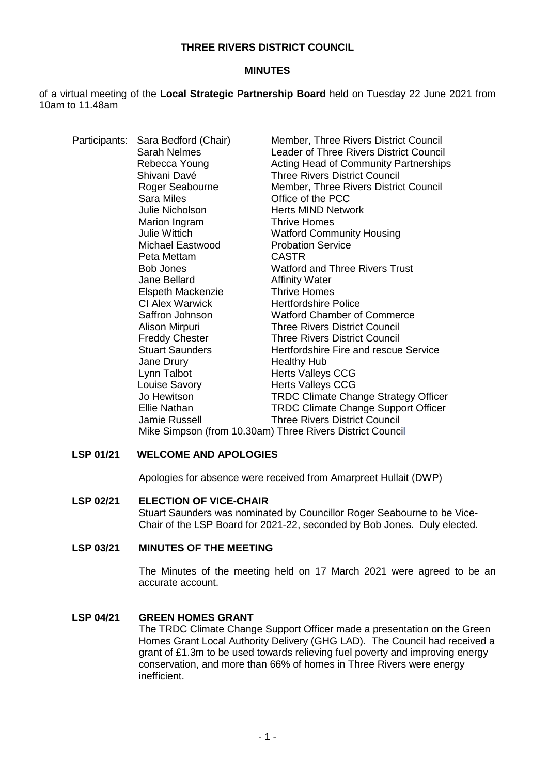## **THREE RIVERS DISTRICT COUNCIL**

### **MINUTES**

of a virtual meeting of the **Local Strategic Partnership Board** held on Tuesday 22 June 2021 from 10am to 11.48am

|  | Participants: Sara Bedford (Chair)<br>Sarah Nelmes<br>Rebecca Young<br>Shivani Davé<br>Roger Seabourne<br><b>Sara Miles</b><br>Julie Nicholson<br>Marion Ingram<br><b>Julie Wittich</b><br>Michael Eastwood<br>Peta Mettam<br><b>Bob Jones</b><br>Jane Bellard<br>Elspeth Mackenzie<br>CI Alex Warwick<br>Saffron Johnson<br>Alison Mirpuri<br><b>Freddy Chester</b><br><b>Stuart Saunders</b><br>Jane Drury<br>Lynn Talbot<br>Louise Savory<br>Jo Hewitson | Member, Three Rivers District Council<br><b>Leader of Three Rivers District Council</b><br>Acting Head of Community Partnerships<br><b>Three Rivers District Council</b><br>Member, Three Rivers District Council<br>Office of the PCC<br><b>Herts MIND Network</b><br><b>Thrive Homes</b><br><b>Watford Community Housing</b><br><b>Probation Service</b><br><b>CASTR</b><br><b>Watford and Three Rivers Trust</b><br><b>Affinity Water</b><br><b>Thrive Homes</b><br><b>Hertfordshire Police</b><br><b>Watford Chamber of Commerce</b><br><b>Three Rivers District Council</b><br><b>Three Rivers District Council</b><br>Hertfordshire Fire and rescue Service<br><b>Healthy Hub</b><br><b>Herts Valleys CCG</b><br><b>Herts Valleys CCG</b><br><b>TRDC Climate Change Strategy Officer</b> |
|--|-------------------------------------------------------------------------------------------------------------------------------------------------------------------------------------------------------------------------------------------------------------------------------------------------------------------------------------------------------------------------------------------------------------------------------------------------------------|------------------------------------------------------------------------------------------------------------------------------------------------------------------------------------------------------------------------------------------------------------------------------------------------------------------------------------------------------------------------------------------------------------------------------------------------------------------------------------------------------------------------------------------------------------------------------------------------------------------------------------------------------------------------------------------------------------------------------------------------------------------------------------------------|
|  |                                                                                                                                                                                                                                                                                                                                                                                                                                                             |                                                                                                                                                                                                                                                                                                                                                                                                                                                                                                                                                                                                                                                                                                                                                                                                |
|  | Ellie Nathan                                                                                                                                                                                                                                                                                                                                                                                                                                                |                                                                                                                                                                                                                                                                                                                                                                                                                                                                                                                                                                                                                                                                                                                                                                                                |
|  |                                                                                                                                                                                                                                                                                                                                                                                                                                                             | <b>TRDC Climate Change Support Officer</b>                                                                                                                                                                                                                                                                                                                                                                                                                                                                                                                                                                                                                                                                                                                                                     |
|  | Jamie Russell                                                                                                                                                                                                                                                                                                                                                                                                                                               | <b>Three Rivers District Council</b>                                                                                                                                                                                                                                                                                                                                                                                                                                                                                                                                                                                                                                                                                                                                                           |
|  | Mike Simpson (from 10.30am) Three Rivers District Council                                                                                                                                                                                                                                                                                                                                                                                                   |                                                                                                                                                                                                                                                                                                                                                                                                                                                                                                                                                                                                                                                                                                                                                                                                |

## **LSP 01/21 WELCOME AND APOLOGIES**

Apologies for absence were received from Amarpreet Hullait (DWP)

#### **LSP 02/21 ELECTION OF VICE-CHAIR**

Stuart Saunders was nominated by Councillor Roger Seabourne to be Vice-Chair of the LSP Board for 2021-22, seconded by Bob Jones. Duly elected.

#### **LSP 03/21 MINUTES OF THE MEETING**

The Minutes of the meeting held on 17 March 2021 were agreed to be an accurate account.

### **LSP 04/21 GREEN HOMES GRANT**

The TRDC Climate Change Support Officer made a presentation on the Green Homes Grant Local Authority Delivery (GHG LAD). The Council had received a grant of £1.3m to be used towards relieving fuel poverty and improving energy conservation, and more than 66% of homes in Three Rivers were energy inefficient.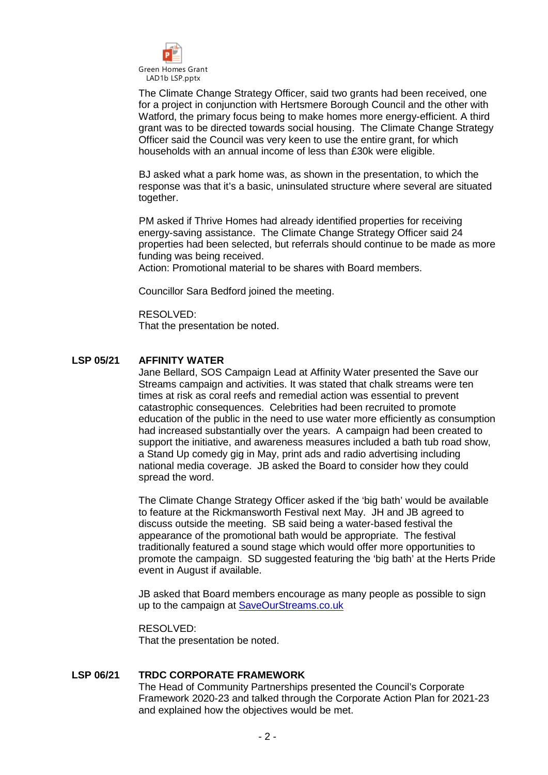

The Climate Change Strategy Officer, said two grants had been received, one for a project in conjunction with Hertsmere Borough Council and the other with Watford, the primary focus being to make homes more energy-efficient. A third grant was to be directed towards social housing. The Climate Change Strategy Officer said the Council was very keen to use the entire grant, for which households with an annual income of less than £30k were eligible.

BJ asked what a park home was, as shown in the presentation, to which the response was that it's a basic, uninsulated structure where several are situated together.

PM asked if Thrive Homes had already identified properties for receiving energy-saving assistance. The Climate Change Strategy Officer said 24 properties had been selected, but referrals should continue to be made as more funding was being received.

Action: Promotional material to be shares with Board members.

Councillor Sara Bedford joined the meeting.

RESOLVED: That the presentation be noted.

## **LSP 05/21 AFFINITY WATER**

Jane Bellard, SOS Campaign Lead at Affinity Water presented the Save our Streams campaign and activities. It was stated that chalk streams were ten times at risk as coral reefs and remedial action was essential to prevent catastrophic consequences. Celebrities had been recruited to promote education of the public in the need to use water more efficiently as consumption had increased substantially over the years. A campaign had been created to support the initiative, and awareness measures included a bath tub road show, a Stand Up comedy gig in May, print ads and radio advertising including national media coverage. JB asked the Board to consider how they could spread the word.

The Climate Change Strategy Officer asked if the 'big bath' would be available to feature at the Rickmansworth Festival next May. JH and JB agreed to discuss outside the meeting. SB said being a water-based festival the appearance of the promotional bath would be appropriate. The festival traditionally featured a sound stage which would offer more opportunities to promote the campaign. SD suggested featuring the 'big bath' at the Herts Pride event in August if available.

JB asked that Board members encourage as many people as possible to sign up to the campaign at SaveOurStreams.co.uk

RESOLVED:

That the presentation be noted.

### **LSP 06/21 TRDC CORPORATE FRAMEWORK**

The Head of Community Partnerships presented the Council's Corporate Framework 2020-23 and talked through the Corporate Action Plan for 2021-23 and explained how the objectives would be met.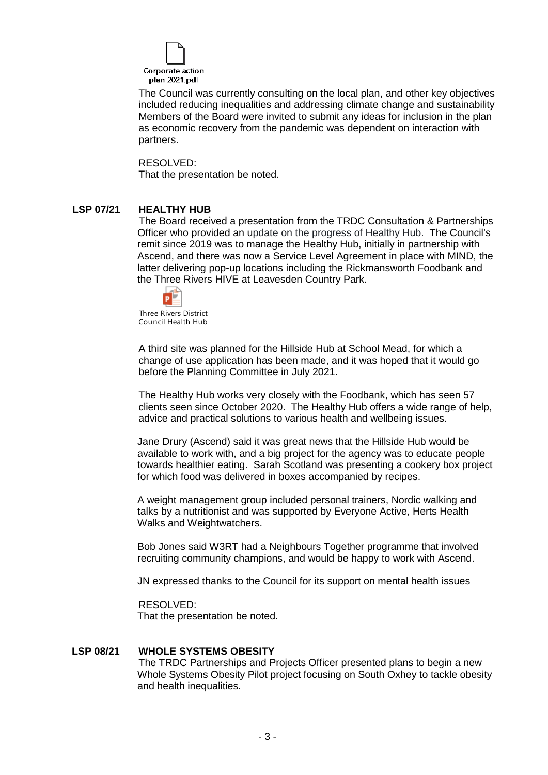

The Council was currently consulting on the local plan, and other key objectives included reducing inequalities and addressing climate change and sustainability Members of the Board were invited to submit any ideas for inclusion in the plan as economic recovery from the pandemic was dependent on interaction with partners.

#### RESOLVED:

That the presentation be noted.

# **LSP 07/21 HEALTHY HUB**

The Board received a presentation from the TRDC Consultation & Partnerships Officer who provided an update on the progress of Healthy Hub. The Council's remit since 2019 was to manage the Healthy Hub, initially in partnership with Ascend, and there was now a Service Level Agreement in place with MIND, the latter delivering pop-up locations including the Rickmansworth Foodbank and the Three Rivers HIVE at Leavesden Country Park.



Three Rivers District Council Health Hub

A third site was planned for the Hillside Hub at School Mead, for which a change of use application has been made, and it was hoped that it would go before the Planning Committee in July 2021.

The Healthy Hub works very closely with the Foodbank, which has seen 57 clients seen since October 2020. The Healthy Hub offers a wide range of help, advice and practical solutions to various health and wellbeing issues.

Jane Drury (Ascend) said it was great news that the Hillside Hub would be available to work with, and a big project for the agency was to educate people towards healthier eating. Sarah Scotland was presenting a cookery box project for which food was delivered in boxes accompanied by recipes.

A weight management group included personal trainers, Nordic walking and talks by a nutritionist and was supported by Everyone Active, Herts Health Walks and Weightwatchers.

Bob Jones said W3RT had a Neighbours Together programme that involved recruiting community champions, and would be happy to work with Ascend.

JN expressed thanks to the Council for its support on mental health issues

RESOLVED:

That the presentation be noted.

### **LSP 08/21 WHOLE SYSTEMS OBESITY**

The TRDC Partnerships and Projects Officer presented plans to begin a new Whole Systems Obesity Pilot project focusing on South Oxhey to tackle obesity and health inequalities.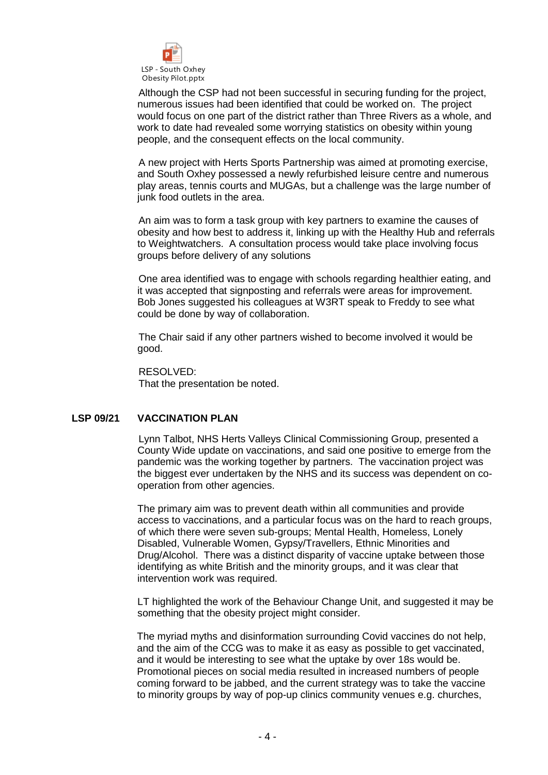

Although the CSP had not been successful in securing funding for the project, numerous issues had been identified that could be worked on. The project would focus on one part of the district rather than Three Rivers as a whole, and work to date had revealed some worrying statistics on obesity within young people, and the consequent effects on the local community.

A new project with Herts Sports Partnership was aimed at promoting exercise, and South Oxhey possessed a newly refurbished leisure centre and numerous play areas, tennis courts and MUGAs, but a challenge was the large number of junk food outlets in the area.

An aim was to form a task group with key partners to examine the causes of obesity and how best to address it, linking up with the Healthy Hub and referrals to Weightwatchers. A consultation process would take place involving focus groups before delivery of any solutions

One area identified was to engage with schools regarding healthier eating, and it was accepted that signposting and referrals were areas for improvement. Bob Jones suggested his colleagues at W3RT speak to Freddy to see what could be done by way of collaboration.

The Chair said if any other partners wished to become involved it would be good.

RESOLVED: That the presentation be noted.

# **LSP 09/21 VACCINATION PLAN**

Lynn Talbot, NHS Herts Valleys Clinical Commissioning Group, presented a County Wide update on vaccinations, and said one positive to emerge from the pandemic was the working together by partners. The vaccination project was the biggest ever undertaken by the NHS and its success was dependent on cooperation from other agencies.

The primary aim was to prevent death within all communities and provide access to vaccinations, and a particular focus was on the hard to reach groups, of which there were seven sub-groups; Mental Health, Homeless, Lonely Disabled, Vulnerable Women, Gypsy/Travellers, Ethnic Minorities and Drug/Alcohol. There was a distinct disparity of vaccine uptake between those identifying as white British and the minority groups, and it was clear that intervention work was required.

LT highlighted the work of the Behaviour Change Unit, and suggested it may be something that the obesity project might consider.

The myriad myths and disinformation surrounding Covid vaccines do not help, and the aim of the CCG was to make it as easy as possible to get vaccinated, and it would be interesting to see what the uptake by over 18s would be. Promotional pieces on social media resulted in increased numbers of people coming forward to be jabbed, and the current strategy was to take the vaccine to minority groups by way of pop-up clinics community venues e.g. churches,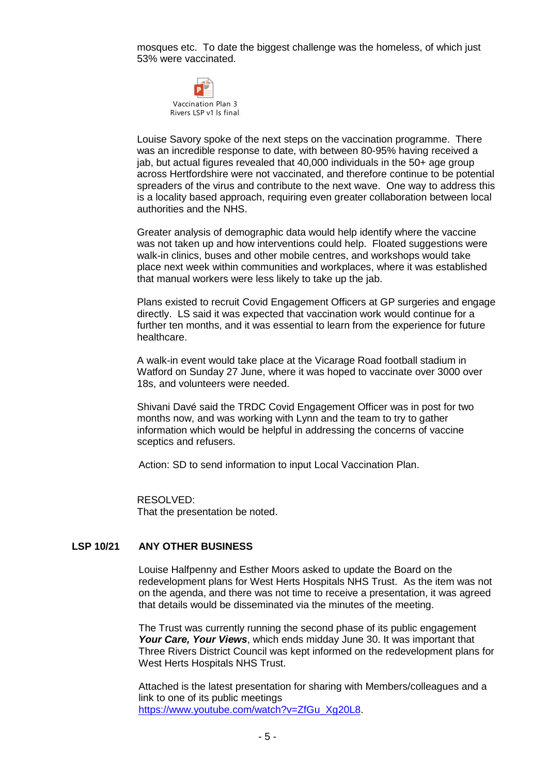mosques etc. To date the biggest challenge was the homeless, of which just 53% were vaccinated.



Louise Savory spoke of the next steps on the vaccination programme. There was an incredible response to date, with between 80-95% having received a jab, but actual figures revealed that 40,000 individuals in the 50+ age group across Hertfordshire were not vaccinated, and therefore continue to be potential spreaders of the virus and contribute to the next wave. One way to address this is a locality based approach, requiring even greater collaboration between local authorities and the NHS.

Greater analysis of demographic data would help identify where the vaccine was not taken up and how interventions could help. Floated suggestions were walk-in clinics, buses and other mobile centres, and workshops would take place next week within communities and workplaces, where it was established that manual workers were less likely to take up the jab.

Plans existed to recruit Covid Engagement Officers at GP surgeries and engage directly. LS said it was expected that vaccination work would continue for a further ten months, and it was essential to learn from the experience for future healthcare.

A walk-in event would take place at the Vicarage Road football stadium in Watford on Sunday 27 June, where it was hoped to vaccinate over 3000 over 18s, and volunteers were needed.

Shivani Davé said the TRDC Covid Engagement Officer was in post for two months now, and was working with Lynn and the team to try to gather information which would be helpful in addressing the concerns of vaccine sceptics and refusers.

Action: SD to send information to input Local Vaccination Plan.

RESOLVED: That the presentation be noted.

# **LSP 10/21 ANY OTHER BUSINESS**

Louise Halfpenny and Esther Moors asked to update the Board on the redevelopment plans for West Herts Hospitals NHS Trust. As the item was not on the agenda, and there was not time to receive a presentation, it was agreed that details would be disseminated via the minutes of the meeting.

The Trust was currently running the second phase of its public engagement *Your Care, Your Views*, which ends midday June 30. It was important that Three Rivers District Council was kept informed on the redevelopment plans for West Herts Hospitals NHS Trust.

Attached is the latest presentation for sharing with Members/colleagues and a link to one of its public meetings [https://www.youtube.com/watch?v=ZfGu\\_Xg20L8.](https://www.youtube.com/watch?v=ZfGu_Xg20L8)